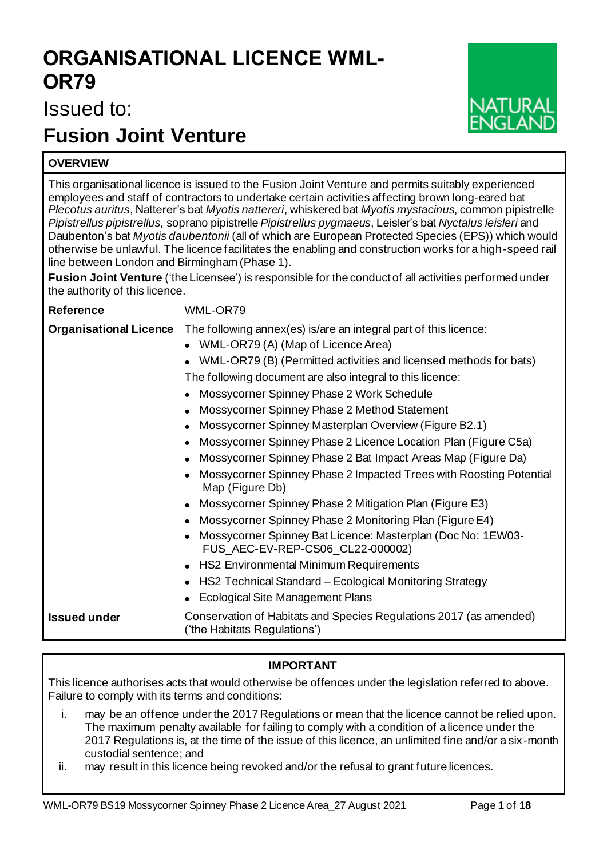## **ORGANISATIONAL LICENCE WML-OR79**

## Issued to:



## **Fusion Joint Venture**

## **OVERVIEW**

This organisational licence is issued to the Fusion Joint Venture and permits suitably experienced employees and staff of contractors to undertake certain activities affecting brown long-eared bat *Plecotus auritus*, Natterer's bat *Myotis nattereri*, whiskered bat *Myotis mystacinus*, common pipistrelle *Pipistrellus pipistrellus,* soprano pipistrelle *Pipistrellus pygmaeus*, Leisler's bat *Nyctalus leisleri* and Daubenton's bat *Myotis daubentonii* (all of which are European Protected Species (EPS)) which would otherwise be unlawful. The licence facilitates the enabling and construction works for a high-speed rail line between London and Birmingham (Phase 1).

**Fusion Joint Venture** ('the Licensee') is responsible for the conduct of all activities performed under the authority of this licence.

| <b>Reference</b>              | WML-OR79                                                                                               |  |  |  |  |  |  |
|-------------------------------|--------------------------------------------------------------------------------------------------------|--|--|--|--|--|--|
| <b>Organisational Licence</b> | The following annex(es) is/are an integral part of this licence:<br>WML-OR79 (A) (Map of Licence Area) |  |  |  |  |  |  |
|                               | WML-OR79 (B) (Permitted activities and licensed methods for bats)                                      |  |  |  |  |  |  |
|                               | The following document are also integral to this licence:                                              |  |  |  |  |  |  |
|                               | Mossycorner Spinney Phase 2 Work Schedule                                                              |  |  |  |  |  |  |
|                               | Mossycorner Spinney Phase 2 Method Statement                                                           |  |  |  |  |  |  |
|                               | Mossycorner Spinney Masterplan Overview (Figure B2.1)                                                  |  |  |  |  |  |  |
|                               | Mossycorner Spinney Phase 2 Licence Location Plan (Figure C5a)                                         |  |  |  |  |  |  |
|                               | Mossycorner Spinney Phase 2 Bat Impact Areas Map (Figure Da)                                           |  |  |  |  |  |  |
|                               | Mossycorner Spinney Phase 2 Impacted Trees with Roosting Potential<br>Map (Figure Db)                  |  |  |  |  |  |  |
|                               | Mossycorner Spinney Phase 2 Mitigation Plan (Figure E3)<br>$\bullet$                                   |  |  |  |  |  |  |
|                               | Mossycorner Spinney Phase 2 Monitoring Plan (Figure E4)                                                |  |  |  |  |  |  |
|                               | Mossycorner Spinney Bat Licence: Masterplan (Doc No: 1EW03-<br>FUS_AEC-EV-REP-CS06_CL22-000002)        |  |  |  |  |  |  |
|                               | HS2 Environmental Minimum Requirements<br>$\bullet$                                                    |  |  |  |  |  |  |
|                               | HS2 Technical Standard - Ecological Monitoring Strategy                                                |  |  |  |  |  |  |
|                               | <b>Ecological Site Management Plans</b>                                                                |  |  |  |  |  |  |
| <b>Issued under</b>           | Conservation of Habitats and Species Regulations 2017 (as amended)<br>('the Habitats Regulations')     |  |  |  |  |  |  |

## **IMPORTANT**

This licence authorises acts that would otherwise be offences under the legislation referred to above. Failure to comply with its terms and conditions:

- i. may be an offence under the 2017 Regulations or mean that the licence cannot be relied upon. The maximum penalty available for failing to comply with a condition of a licence under the 2017 Regulations is, at the time of the issue of this licence, an unlimited fine and/or a six-month custodial sentence; and
- ii. may result in this licence being revoked and/or the refusal to grant future licences.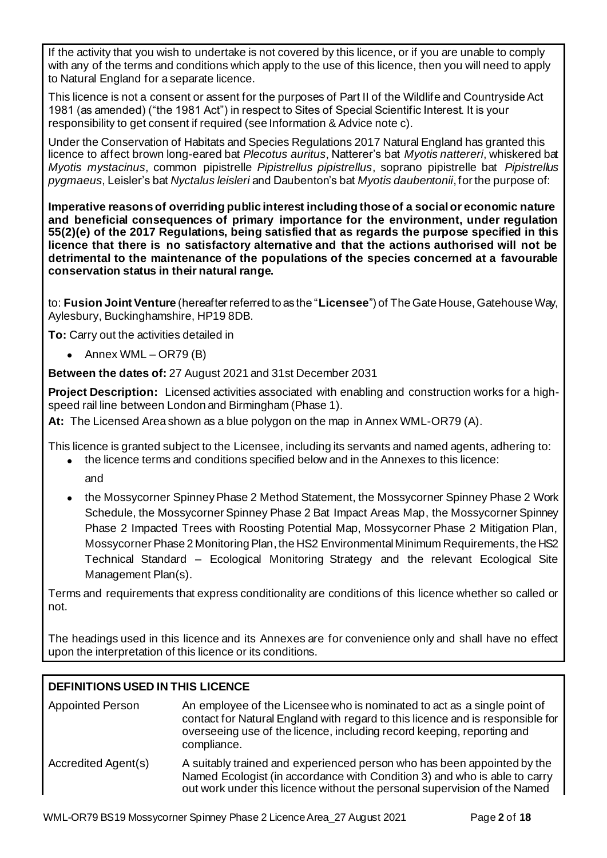If the activity that you wish to undertake is not covered by this licence, or if you are unable to comply with any of the terms and conditions which apply to the use of this licence, then you will need to apply to Natural England for a separate licence.

This licence is not a consent or assent for the purposes of Part II of the Wildlife and Countryside Act 1981 (as amended) ("the 1981 Act") in respect to Sites of Special Scientific Interest. It is your responsibility to get consent if required (see Information & Advice note c).

Under the Conservation of Habitats and Species Regulations 2017 Natural England has granted this licence to affect brown long-eared bat *Plecotus auritus*, Natterer's bat *Myotis nattereri*, whiskered bat *Myotis mystacinus*, common pipistrelle *Pipistrellus pipistrellus*, soprano pipistrelle bat *Pipistrellus pygmaeus*, Leisler's bat *Nyctalus leisleri* and Daubenton's bat *Myotis daubentonii*, for the purpose of:

**Imperative reasons of overriding public interest including those of a social or economic nature and beneficial consequences of primary importance for the environment, under regulation 55(2)(e) of the 2017 Regulations, being satisfied that as regards the purpose specified in this licence that there is no satisfactory alternative and that the actions authorised will not be detrimental to the maintenance of the populations of the species concerned at a favourable conservation status in their natural range.**

to: **Fusion Joint Venture** (hereafter referred to as the "**Licensee**") of The Gate House, Gatehouse Way, Aylesbury, Buckinghamshire, HP19 8DB.

**To:** Carry out the activities detailed in

• Annex WML – OR79 (B)

**Between the dates of:** 27 August 2021 and 31st December 2031

**Project Description:** Licensed activities associated with enabling and construction works for a highspeed rail line between London and Birmingham (Phase 1).

**At:** The Licensed Area shown as a blue polygon on the map in Annex WML-OR79 (A).

This licence is granted subject to the Licensee, including its servants and named agents, adhering to:

- the licence terms and conditions specified below and in the Annexes to this licence: and
- the Mossycorner Spinney Phase 2 Method Statement, the Mossycorner Spinney Phase 2 Work Schedule, the Mossycorner Spinney Phase 2 Bat Impact Areas Map, the Mossycorner Spinney Phase 2 Impacted Trees with Roosting Potential Map, Mossycorner Phase 2 Mitigation Plan, Mossycorner Phase 2 Monitoring Plan, the HS2 Environmental Minimum Requirements, the HS2 Technical Standard – Ecological Monitoring Strategy and the relevant Ecological Site Management Plan(s).

Terms and requirements that express conditionality are conditions of this licence whether so called or not.

The headings used in this licence and its Annexes are for convenience only and shall have no effect upon the interpretation of this licence or its conditions.

## **DEFINITIONS USED IN THIS LICENCE**

| <b>Appointed Person</b> | An employee of the Licensee who is nominated to act as a single point of<br>contact for Natural England with regard to this licence and is responsible for<br>overseeing use of the licence, including record keeping, reporting and<br>compliance. |
|-------------------------|-----------------------------------------------------------------------------------------------------------------------------------------------------------------------------------------------------------------------------------------------------|
| Accredited Agent(s)     | A suitably trained and experienced person who has been appointed by the<br>Named Ecologist (in accordance with Condition 3) and who is able to carry<br>out work under this licence without the personal supervision of the Named                   |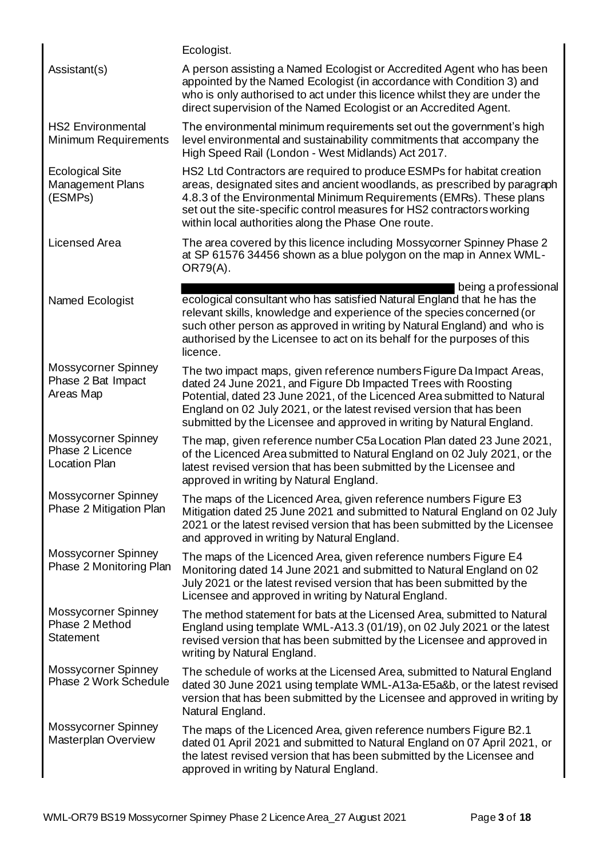|                                                                       | Ecologist.                                                                                                                                                                                                                                                                                                                                                          |
|-----------------------------------------------------------------------|---------------------------------------------------------------------------------------------------------------------------------------------------------------------------------------------------------------------------------------------------------------------------------------------------------------------------------------------------------------------|
| Assistant(s)                                                          | A person assisting a Named Ecologist or Accredited Agent who has been<br>appointed by the Named Ecologist (in accordance with Condition 3) and<br>who is only authorised to act under this licence whilst they are under the<br>direct supervision of the Named Ecologist or an Accredited Agent.                                                                   |
| <b>HS2 Environmental</b><br><b>Minimum Requirements</b>               | The environmental minimum requirements set out the government's high<br>level environmental and sustainability commitments that accompany the<br>High Speed Rail (London - West Midlands) Act 2017.                                                                                                                                                                 |
| <b>Ecological Site</b><br><b>Management Plans</b><br>(ESMPs)          | HS2 Ltd Contractors are required to produce ESMPs for habitat creation<br>areas, designated sites and ancient woodlands, as prescribed by paragraph<br>4.8.3 of the Environmental Minimum Requirements (EMRs). These plans<br>set out the site-specific control measures for HS2 contractors working<br>within local authorities along the Phase One route.         |
| <b>Licensed Area</b>                                                  | The area covered by this licence including Mossycorner Spinney Phase 2<br>at SP 61576 34456 shown as a blue polygon on the map in Annex WML-<br>OR79(A).                                                                                                                                                                                                            |
| Named Ecologist                                                       | being a professional<br>ecological consultant who has satisfied Natural England that he has the<br>relevant skills, knowledge and experience of the species concerned (or<br>such other person as approved in writing by Natural England) and who is<br>authorised by the Licensee to act on its behalf for the purposes of this<br>licence.                        |
| <b>Mossycorner Spinney</b><br>Phase 2 Bat Impact<br>Areas Map         | The two impact maps, given reference numbers Figure Da Impact Areas,<br>dated 24 June 2021, and Figure Db Impacted Trees with Roosting<br>Potential, dated 23 June 2021, of the Licenced Area submitted to Natural<br>England on 02 July 2021, or the latest revised version that has been<br>submitted by the Licensee and approved in writing by Natural England. |
| <b>Mossycorner Spinney</b><br>Phase 2 Licence<br><b>Location Plan</b> | The map, given reference number C5a Location Plan dated 23 June 2021,<br>of the Licenced Area submitted to Natural England on 02 July 2021, or the<br>latest revised version that has been submitted by the Licensee and<br>approved in writing by Natural England.                                                                                                 |
| <b>Mossycorner Spinney</b><br>Phase 2 Mitigation Plan                 | The maps of the Licenced Area, given reference numbers Figure E3<br>Mitigation dated 25 June 2021 and submitted to Natural England on 02 July<br>2021 or the latest revised version that has been submitted by the Licensee<br>and approved in writing by Natural England.                                                                                          |
| <b>Mossycorner Spinney</b><br>Phase 2 Monitoring Plan                 | The maps of the Licenced Area, given reference numbers Figure E4<br>Monitoring dated 14 June 2021 and submitted to Natural England on 02<br>July 2021 or the latest revised version that has been submitted by the<br>Licensee and approved in writing by Natural England.                                                                                          |
| <b>Mossycorner Spinney</b><br>Phase 2 Method<br><b>Statement</b>      | The method statement for bats at the Licensed Area, submitted to Natural<br>England using template WML-A13.3 (01/19), on 02 July 2021 or the latest<br>revised version that has been submitted by the Licensee and approved in<br>writing by Natural England.                                                                                                       |
| <b>Mossycorner Spinney</b><br>Phase 2 Work Schedule                   | The schedule of works at the Licensed Area, submitted to Natural England<br>dated 30 June 2021 using template WML-A13a-E5a&b, or the latest revised<br>version that has been submitted by the Licensee and approved in writing by<br>Natural England.                                                                                                               |
| <b>Mossycorner Spinney</b><br>Masterplan Overview                     | The maps of the Licenced Area, given reference numbers Figure B2.1<br>dated 01 April 2021 and submitted to Natural England on 07 April 2021, or<br>the latest revised version that has been submitted by the Licensee and<br>approved in writing by Natural England.                                                                                                |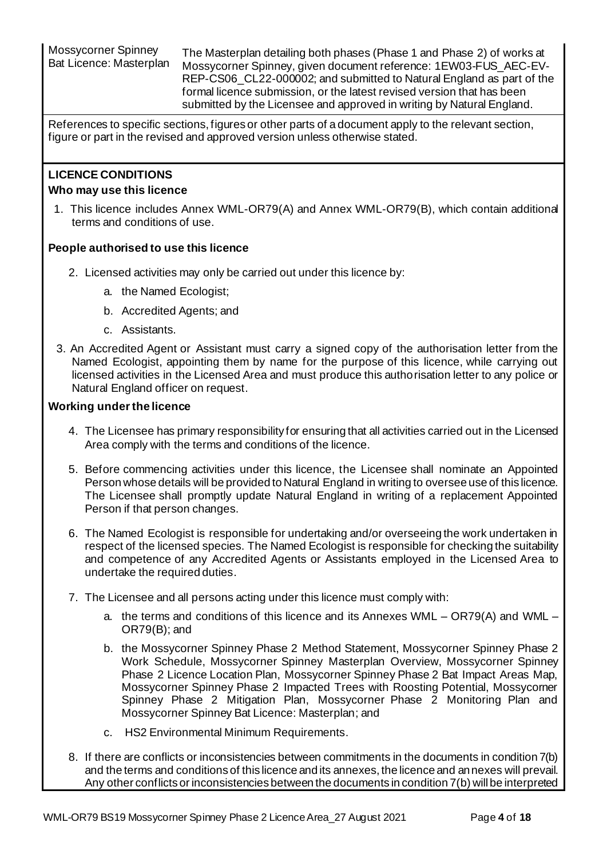The Masterplan detailing both phases (Phase 1 and Phase 2) of works at Mossycorner Spinney, given document reference: 1EW03-FUS\_AEC-EV-REP-CS06\_CL22-000002; and submitted to Natural England as part of the formal licence submission, or the latest revised version that has been submitted by the Licensee and approved in writing by Natural England.

References to specific sections, figures or other parts of a document apply to the relevant section, figure or part in the revised and approved version unless otherwise stated.

## **LICENCE CONDITIONS**

## **Who may use this licence**

1. This licence includes Annex WML-OR79(A) and Annex WML-OR79(B), which contain additional terms and conditions of use.

## **People authorised to use this licence**

- 2. Licensed activities may only be carried out under this licence by:
	- a. the Named Ecologist;
	- b. Accredited Agents; and
	- c. Assistants.
- 3. An Accredited Agent or Assistant must carry a signed copy of the authorisation letter from the Named Ecologist, appointing them by name for the purpose of this licence, while carrying out licensed activities in the Licensed Area and must produce this authorisation letter to any police or Natural England officer on request.

## **Working under the licence**

- 4. The Licensee has primary responsibility for ensuring that all activities carried out in the Licensed Area comply with the terms and conditions of the licence.
- 5. Before commencing activities under this licence, the Licensee shall nominate an Appointed Person whose details will be provided to Natural England in writing to oversee use of this licence. The Licensee shall promptly update Natural England in writing of a replacement Appointed Person if that person changes.
- 6. The Named Ecologist is responsible for undertaking and/or overseeing the work undertaken in respect of the licensed species. The Named Ecologist is responsible for checking the suitability and competence of any Accredited Agents or Assistants employed in the Licensed Area to undertake the required duties.
- 7. The Licensee and all persons acting under this licence must comply with:
	- a. the terms and conditions of this licence and its Annexes WML OR79(A) and WML OR79(B); and
	- b. the Mossycorner Spinney Phase 2 Method Statement, Mossycorner Spinney Phase 2 Work Schedule, Mossycorner Spinney Masterplan Overview, Mossycorner Spinney Phase 2 Licence Location Plan, Mossycorner Spinney Phase 2 Bat Impact Areas Map, Mossycorner Spinney Phase 2 Impacted Trees with Roosting Potential, Mossycorner Spinney Phase 2 Mitigation Plan, Mossycorner Phase 2 Monitoring Plan and Mossycorner Spinney Bat Licence: Masterplan; and
	- c. HS2 Environmental Minimum Requirements.
- 8. If there are conflicts or inconsistencies between commitments in the documents in condition 7(b) and the terms and conditions of this licence and its annexes, the licence and annexes will prevail. Any other conflicts or inconsistencies between the documents in condition 7(b) will be interpreted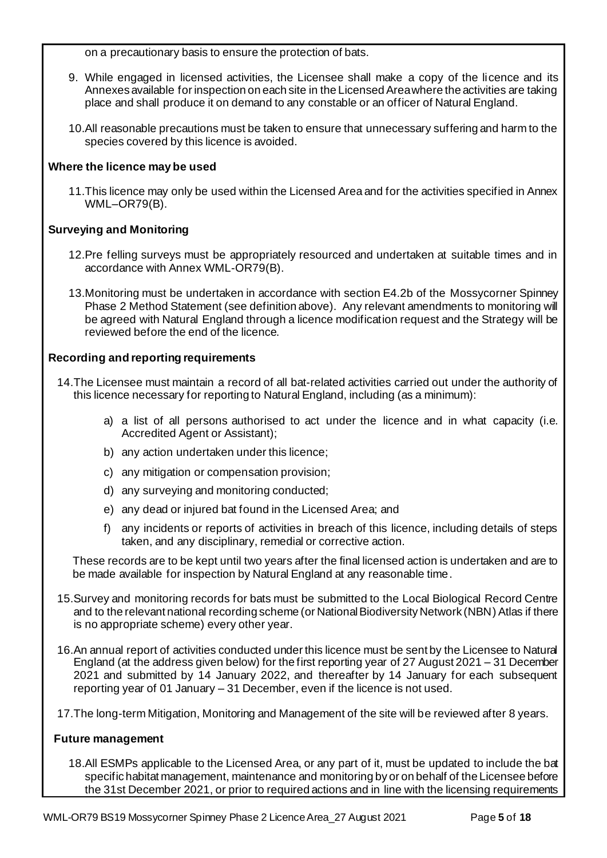on a precautionary basis to ensure the protection of bats.

- 9. While engaged in licensed activities, the Licensee shall make a copy of the licence and its Annexes available for inspection on each site in the Licensed Area where the activities are taking place and shall produce it on demand to any constable or an officer of Natural England.
- 10.All reasonable precautions must be taken to ensure that unnecessary suffering and harm to the species covered by this licence is avoided.

## **Where the licence may be used**

11.This licence may only be used within the Licensed Area and for the activities specified in Annex WML–OR79(B).

## **Surveying and Monitoring**

- 12.Pre felling surveys must be appropriately resourced and undertaken at suitable times and in accordance with Annex WML-OR79(B).
- 13.Monitoring must be undertaken in accordance with section E4.2b of the Mossycorner Spinney Phase 2 Method Statement (see definition above). Any relevant amendments to monitoring will be agreed with Natural England through a licence modification request and the Strategy will be reviewed before the end of the licence.

## **Recording and reporting requirements**

- 14.The Licensee must maintain a record of all bat-related activities carried out under the authority of this licence necessary for reporting to Natural England, including (as a minimum):
	- a) a list of all persons authorised to act under the licence and in what capacity (i.e. Accredited Agent or Assistant);
	- b) any action undertaken under this licence;
	- c) any mitigation or compensation provision;
	- d) any surveying and monitoring conducted;
	- e) any dead or injured bat found in the Licensed Area; and
	- f) any incidents or reports of activities in breach of this licence, including details of steps taken, and any disciplinary, remedial or corrective action.

These records are to be kept until two years after the final licensed action is undertaken and are to be made available for inspection by Natural England at any reasonable time.

- 15.Survey and monitoring records for bats must be submitted to the Local Biological Record Centre and to the relevant national recording scheme (or National Biodiversity Network (NBN) Atlas if there is no appropriate scheme) every other year.
- 16.An annual report of activities conducted under this licence must be sent by the Licensee to Natural England (at the address given below) for the first reporting year of 27 August 2021 – 31 December 2021 and submitted by 14 January 2022, and thereafter by 14 January for each subsequent reporting year of 01 January – 31 December, even if the licence is not used.
- 17.The long-term Mitigation, Monitoring and Management of the site will be reviewed after 8 years.

## **Future management**

18.All ESMPs applicable to the Licensed Area, or any part of it, must be updated to include the bat specific habitat management, maintenance and monitoring by or on behalf of the Licensee before the 31st December 2021, or prior to required actions and in line with the licensing requirements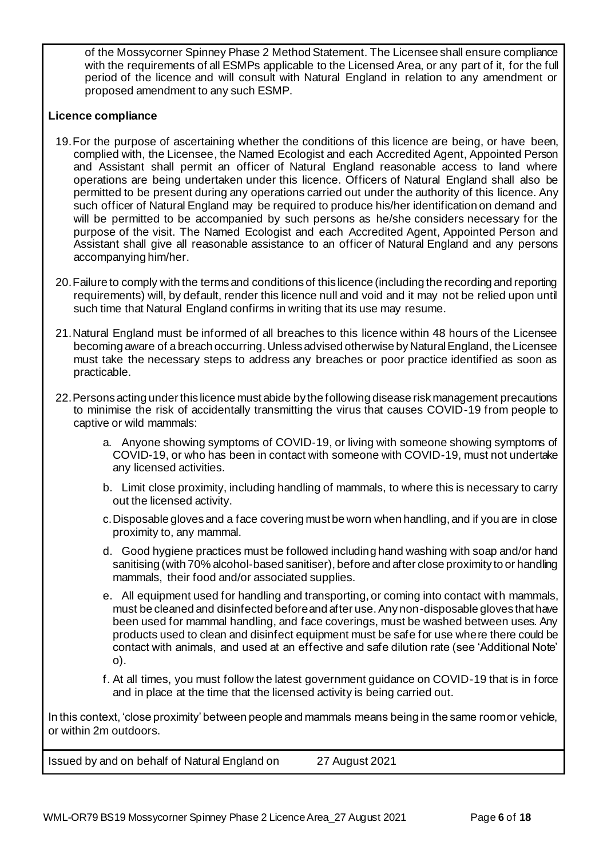of the Mossycorner Spinney Phase 2 Method Statement. The Licensee shall ensure compliance with the requirements of all ESMPs applicable to the Licensed Area, or any part of it, for the full period of the licence and will consult with Natural England in relation to any amendment or proposed amendment to any such ESMP.

## **Licence compliance**

- 19.For the purpose of ascertaining whether the conditions of this licence are being, or have been, complied with, the Licensee, the Named Ecologist and each Accredited Agent, Appointed Person and Assistant shall permit an officer of Natural England reasonable access to land where operations are being undertaken under this licence. Officers of Natural England shall also be permitted to be present during any operations carried out under the authority of this licence. Any such officer of Natural England may be required to produce his/her identification on demand and will be permitted to be accompanied by such persons as he/she considers necessary for the purpose of the visit. The Named Ecologist and each Accredited Agent, Appointed Person and Assistant shall give all reasonable assistance to an officer of Natural England and any persons accompanying him/her.
- 20.Failure to comply with the terms and conditions of this licence (including the recording and reporting requirements) will, by default, render this licence null and void and it may not be relied upon until such time that Natural England confirms in writing that its use may resume.
- 21.Natural England must be informed of all breaches to this licence within 48 hours of the Licensee becoming aware of a breach occurring. Unless advised otherwise by Natural England, the Licensee must take the necessary steps to address any breaches or poor practice identified as soon as practicable.
- 22.Persons acting under this licence must abide by the following disease risk management precautions to minimise the risk of accidentally transmitting the virus that causes COVID-19 from people to captive or wild mammals:
	- a. Anyone showing symptoms of COVID-19, or living with someone showing symptoms of COVID-19, or who has been in contact with someone with COVID-19, must not undertake any licensed activities.
	- b. Limit close proximity, including handling of mammals, to where this is necessary to carry out the licensed activity.
	- c.Disposable gloves and a face covering must be worn when handling, and if you are in close proximity to, any mammal.
	- d. Good hygiene practices must be followed including hand washing with soap and/or hand sanitising (with 70% alcohol-based sanitiser), before and after close proximity to or handling mammals, their food and/or associated supplies.
	- e. All equipment used for handling and transporting, or coming into contact with mammals, must be cleaned and disinfected before and after use. Any non-disposable gloves that have been used for mammal handling, and face coverings, must be washed between uses. Any products used to clean and disinfect equipment must be safe for use where there could be contact with animals, and used at an effective and safe dilution rate (see 'Additional Note' o).
	- f. At all times, you must follow the latest government guidance on COVID-19 that is in force and in place at the time that the licensed activity is being carried out.

In this context, 'close proximity' between people and mammals means being in the same room or vehicle, or within 2m outdoors.

Issued by and on behalf of Natural England on 27 August 2021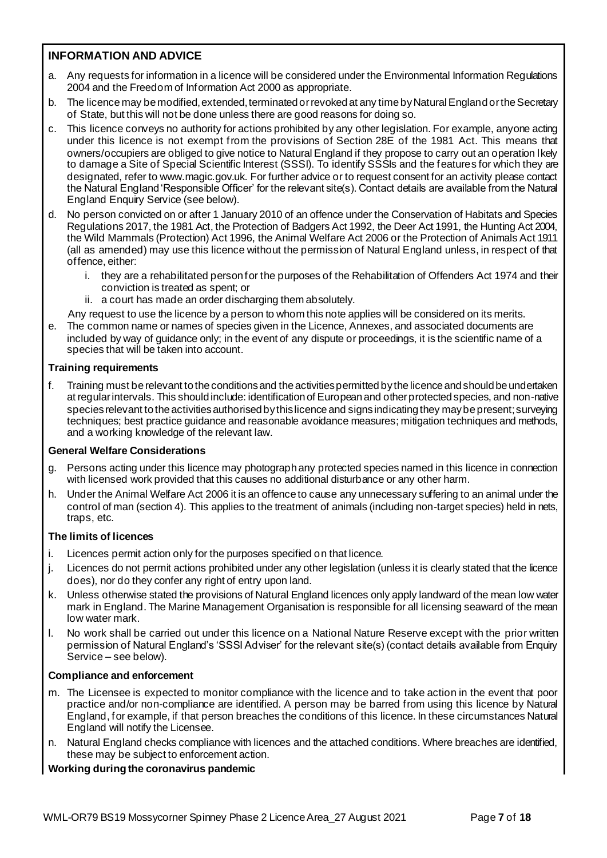## **INFORMATION AND ADVICE**

- a. Any requests for information in a licence will be considered under the Environmental Information Regulations 2004 and the Freedom of Information Act 2000 as appropriate.
- b. The licence may be modified, extended, terminated or revoked at any time by Natural England or the Secretary of State, but this will not be done unless there are good reasons for doing so.
- c. This licence conveys no authority for actions prohibited by any other legislation. For example, anyone acting under this licence is not exempt from the provisions of Section 28E of the 1981 Act. This means that owners/occupiers are obliged to give notice to Natural England if they propose to carry out an operation lkely to damage a Site of Special Scientific Interest (SSSI). To identify SSSIs and the features for which they are designated, refer to www.magic.gov.uk. For further advice or to request consent for an activity please contact the Natural England 'Responsible Officer' for the relevant site(s). Contact details are available from the Natural England Enquiry Service (see below).
- d. No person convicted on or after 1 January 2010 of an offence under the Conservation of Habitats and Species Regulations 2017, the 1981 Act, the Protection of Badgers Act 1992, the Deer Act 1991, the Hunting Act 2004, the Wild Mammals (Protection) Act 1996, the Animal Welfare Act 2006 or the Protection of Animals Act 1911 (all as amended) may use this licence without the permission of Natural England unless, in respect of that offence, either:
	- i. they are a rehabilitated person for the purposes of the Rehabilitation of Offenders Act 1974 and their conviction is treated as spent; or
	- ii. a court has made an order discharging them absolutely.

Any request to use the licence by a person to whom this note applies will be considered on its merits.

e. The common name or names of species given in the Licence, Annexes, and associated documents are included by way of guidance only; in the event of any dispute or proceedings, it is the scientific name of a species that will be taken into account.

## **Training requirements**

f. Training must be relevant to the conditions and the activities permitted by the licence and should be undertaken at regular intervals. This should include: identification of European and other protected species, and non-native species relevant to the activities authorised by this licence and signs indicating they may be present; surveying techniques; best practice guidance and reasonable avoidance measures; mitigation techniques and methods, and a working knowledge of the relevant law.

## **General Welfare Considerations**

- g. Persons acting under this licence may photograph any protected species named in this licence in connection with licensed work provided that this causes no additional disturbance or any other harm.
- h. Under the Animal Welfare Act 2006 it is an offence to cause any unnecessary suffering to an animal under the control of man (section 4). This applies to the treatment of animals (including non-target species) held in nets, traps, etc.

### **The limits of licences**

- i. Licences permit action only for the purposes specified on that licence.
- j. Licences do not permit actions prohibited under any other legislation (unless it is clearly stated that the licence does), nor do they confer any right of entry upon land.
- k. Unless otherwise stated the provisions of Natural England licences only apply landward of the mean low water mark in England. The Marine Management Organisation is responsible for all licensing seaward of the mean low water mark.
- l. No work shall be carried out under this licence on a National Nature Reserve except with the prior written permission of Natural England's 'SSSI Adviser' for the relevant site(s) (contact details available from Enquiry Service – see below).

### **Compliance and enforcement**

- m. The Licensee is expected to monitor compliance with the licence and to take action in the event that poor practice and/or non-compliance are identified. A person may be barred from using this licence by Natural England, for example, if that person breaches the conditions of this licence. In these circumstances Natural England will notify the Licensee.
- n. Natural England checks compliance with licences and the attached conditions. Where breaches are identified, these may be subject to enforcement action.

### **Working during the coronavirus pandemic**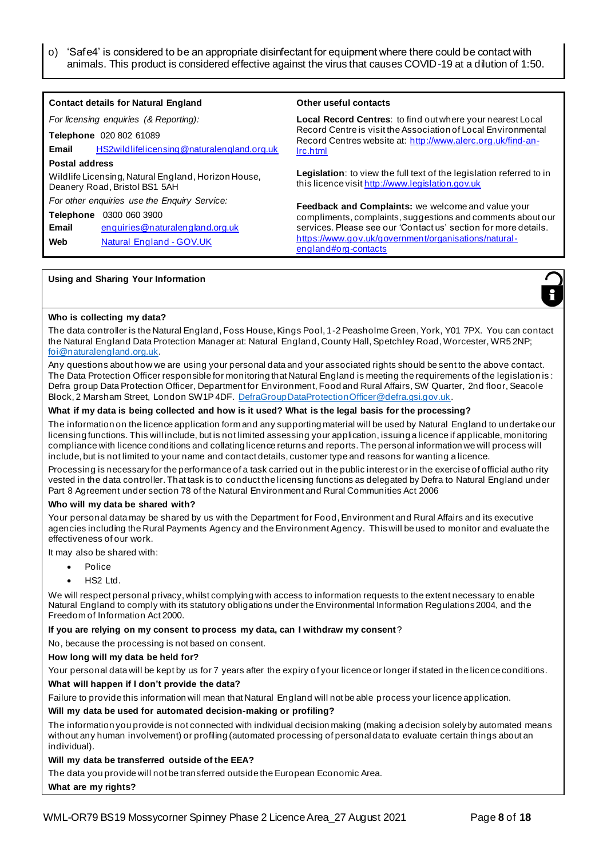'Safe4' is considered to be an appropriate disinfectant for equipment where there could be contact with animals. This product is considered effective against the virus that causes COVID-19 at a dilution of 1:50.

| <b>Contact details for Natural England</b>                                                                                                                       | Other useful contacts                                                                                                                                                                                                                                                      |  |  |  |  |
|------------------------------------------------------------------------------------------------------------------------------------------------------------------|----------------------------------------------------------------------------------------------------------------------------------------------------------------------------------------------------------------------------------------------------------------------------|--|--|--|--|
| For licensing enquiries (& Reporting):                                                                                                                           | Local Record Centres: to find out where your nearest Local<br>Record Centre is visit the Association of Local Environmental<br>Record Centres website at: http://www.alerc.org.uk/find-an-<br>Irc.html                                                                     |  |  |  |  |
| Telephone 020 802 61089<br>HS2wildlifelicensing@naturalengland.org.uk<br>Email                                                                                   |                                                                                                                                                                                                                                                                            |  |  |  |  |
| Postal address<br>Wildlife Licensing, Natural England, Horizon House,<br>Deanery Road, Bristol BS1 5AH                                                           | <b>Legislation:</b> to view the full text of the legislation referred to in<br>this licence visit http://www.legislation.gov.uk                                                                                                                                            |  |  |  |  |
| For other enquiries use the Enquiry Service:<br><b>Telephone</b><br>0300 060 3900<br>enquiries@naturalengland.org.uk<br>Email<br>Natural England - GOV.UK<br>Web | <b>Feedback and Complaints:</b> we welcome and value your<br>compliments, complaints, suggestions and comments about our<br>services. Please see our 'Contactus' section for more details.<br>https://www.gov.uk/government/organisations/natural-<br>england#org-contacts |  |  |  |  |
|                                                                                                                                                                  |                                                                                                                                                                                                                                                                            |  |  |  |  |
| Using and Sharing Your Information                                                                                                                               |                                                                                                                                                                                                                                                                            |  |  |  |  |

## **Who is collecting my data?**

The data controller is the Natural England, Foss House, Kings Pool, 1-2 Peasholme Green, York, Y01 7PX. You can contact the Natural England Data Protection Manager at: Natural England, County Hall, Spetchley Road, Worcester, WR5 2NP; foi@naturalengland.org.uk.

Any questions about how we are using your personal data and your associated rights should be sent to the above contact. The Data Protection Officer responsible for monitoring that Natural England is meeting the requirements of the legislation is : Defra group Data Protection Officer, Department for Environment, Food and Rural Affairs, SW Quarter, 2nd floor, Seacole Block, 2 Marsham Street, London SW1P 4DF. DefraGroupDataProtectionOfficer@defra.gsi.gov.uk.

#### **What if my data is being collected and how is it used? What is the legal basis for the processing?**

The information on the licence application form and any supporting material will be used by Natural England to undertake our licensing functions. This will include, but is not limited assessing your application, issuing a licence if applicable, monitoring compliance with licence conditions and collating licence returns and reports. The personal information we will process will include, but is not limited to your name and contact details, customer type and reasons for wanting a licence.

Processing is necessary for the performance of a task carried out in the public interest or in the exercise of official autho rity vested in the data controller. That task is to conduct the licensing functions as delegated by Defra to Natural England under Part 8 Agreement under section 78 of the Natural Environment and Rural Communities Act 2006

#### **Who will my data be shared with?**

Your personal data may be shared by us with the Department for Food, Environment and Rural Affairs and its executive agencies including the Rural Payments Agency and the Environment Agency. This will be used to monitor and evaluate the effectiveness of our work.

It may also be shared with:

- **Police**
- HS2 Ltd.

We will respect personal privacy, whilst complying with access to information requests to the extent necessary to enable Natural England to comply with its statutory obligations under the Environmental Information Regulations 2004, and the Freedom of Information Act 2000.

**If you are relying on my consent to process my data, can I withdraw my consent**?

No, because the processing is not based on consent.

#### **How long will my data be held for?**

Your personal data will be kept by us for 7 years after the expiry of your licence or longer if stated in the licence conditions.

#### **What will happen if I don't provide the data?**

Failure to provide this information will mean that Natural England will not be able process your licence application.

#### **Will my data be used for automated decision-making or profiling?**

The information you provide is not connected with individual decision making (making a decision solely by automated means without any human involvement) or profiling (automated processing of personal data to evaluate certain things about an individual).

#### **Will my data be transferred outside of the EEA?**

The data you provide will not be transferred outside the European Economic Area.

**What are my rights?**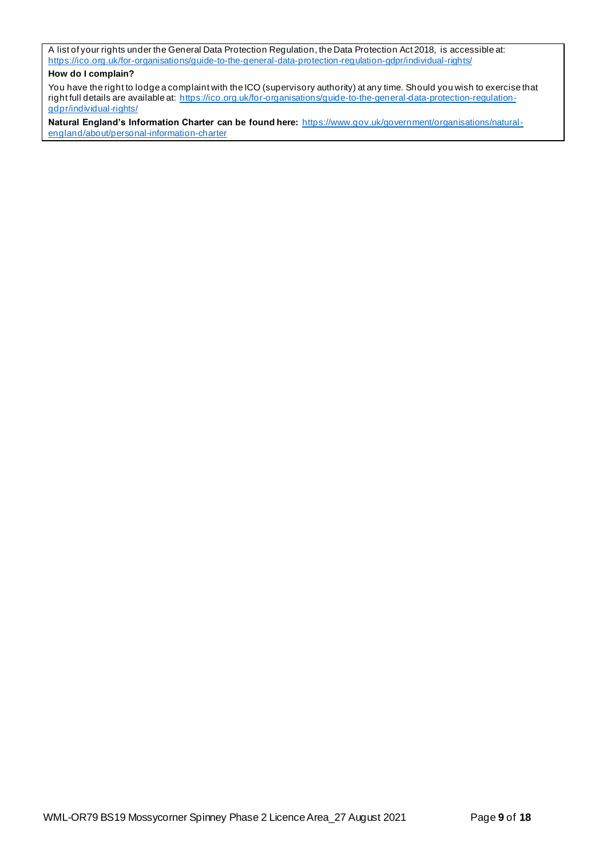A list of your rights under the General Data Protection Regulation, the Data Protection Act 2018, is accessible at: https://ico.org.uk/for-organisations/guide-to-the-general-data-protection-regulation-gdpr/individual-rights/

## **How do I complain?**

You have the right to lodge a complaint with the ICO (supervisory authority) at any time. Should you wish to exercise that right full details are available at: https://ico.org.uk/for-organisations/guide-to-the-general-data-protection-regulationgdpr/individual-rights/

**Natural England's Information Charter can be found here:** https://www.gov.uk/government/organisations/naturalengland/about/personal-information-charter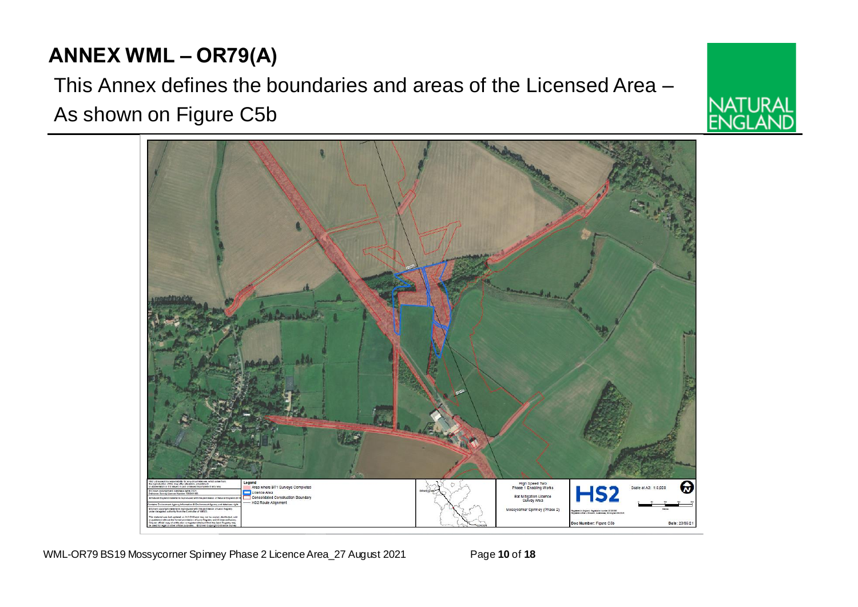# **ANNEX WML – OR79(A)**

This Annex defines the boundaries and areas of the Licensed Area – As shown on Figure C5b





WML-OR79 BS19 Mossycorner Spinney Phase 2 Licence Area\_27 August 2021 Page **10** of **18**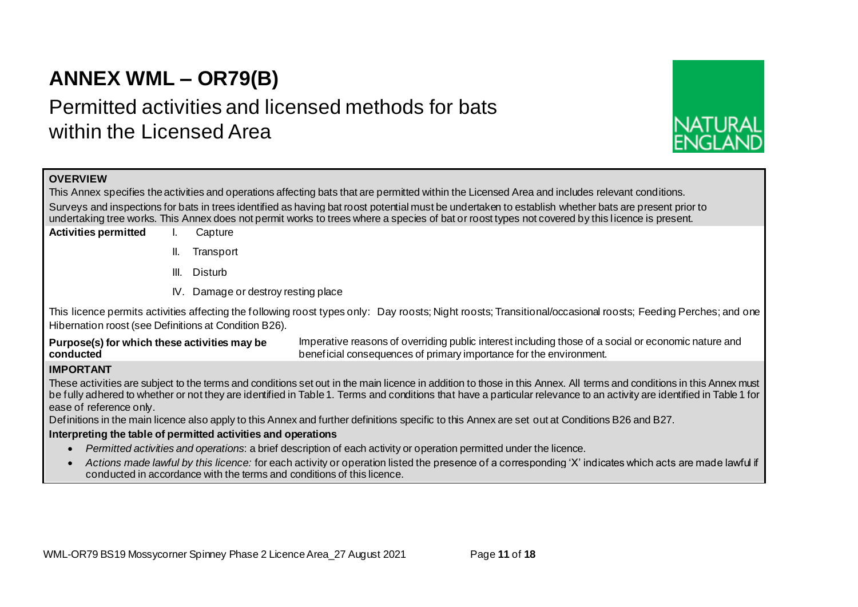## **ANNEX WML – OR79(B)**

## Permitted activities and licensed methods for bats within the Licensed Area



## **OVERVIEW**

This Annex specifies the activities and operations affecting bats that are permitted within the Licensed Area and includes relevant conditions. Surveys and inspections for bats in trees identified as having bat roost potential must be undertaken to establish whether bats are present prior to undertaking tree works. This Annex does not permit works to trees where a species of bat or roost types not covered by this licence is present.

- **Activities permitted** I. Capture
	- II. Transport
	- III. Disturb
	- IV. Damage or destroy resting place

This licence permits activities affecting the following roost types only: Day roosts; Night roosts; Transitional/occasional roosts; Feeding Perches; and one Hibernation roost (see Definitions at Condition B26).

**Purpose(s) for which these activities may be conducted** Imperative reasons of overriding public interest including those of a social or economic nature and beneficial consequences of primary importance for the environment.

### **IMPORTANT**

These activities are subject to the terms and conditions set out in the main licence in addition to those in this Annex. All terms and conditions in this Annex must be fully adhered to whether or not they are identified in Table 1. Terms and conditions that have a particular relevance to an activity are identified in Table 1 for ease of reference only.

Definitions in the main licence also apply to this Annex and further definitions specific to this Annex are set out at Conditions B26 and B27.

### **Interpreting the table of permitted activities and operations**

- *Permitted activities and operations*: a brief description of each activity or operation permitted under the licence.
- *Actions made lawful by this licence:* for each activity or operation listed the presence of a corresponding 'X' indicates which acts are made lawful if conducted in accordance with the terms and conditions of this licence.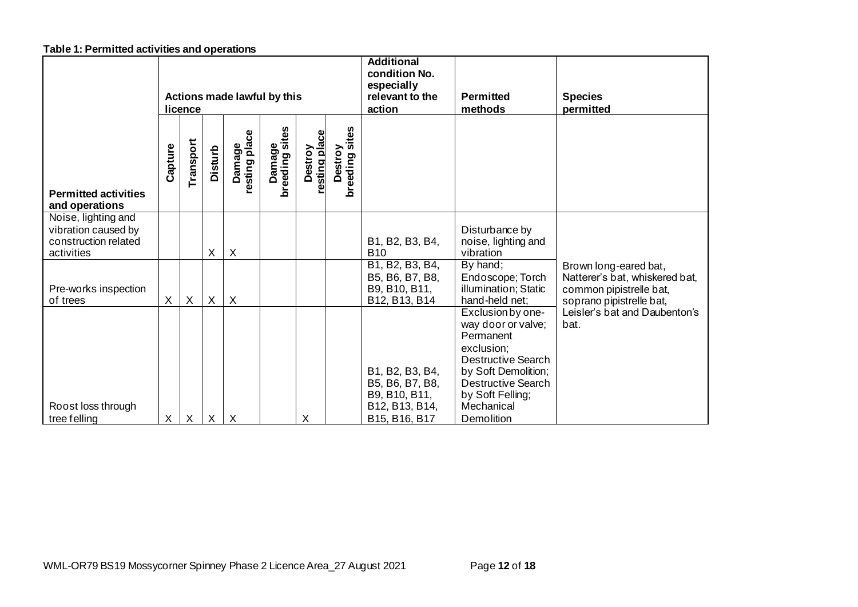**Table 1: Permitted activities and operations**

|                                                                                  | Actions made lawful by this |                  |                |                           |                          |                        |                           | <b>Additional</b><br>condition No.<br>especially<br>relevant to the   | <b>Permitted</b>                                                                                                                                                                      | <b>Species</b>                                                                                                 |
|----------------------------------------------------------------------------------|-----------------------------|------------------|----------------|---------------------------|--------------------------|------------------------|---------------------------|-----------------------------------------------------------------------|---------------------------------------------------------------------------------------------------------------------------------------------------------------------------------------|----------------------------------------------------------------------------------------------------------------|
|                                                                                  |                             | licence          |                |                           |                          |                        |                           | action                                                                | methods                                                                                                                                                                               | permitted                                                                                                      |
| <b>Permitted activities</b><br>and operations                                    | Capture                     | Transport        | <b>Disturb</b> | Damage<br>resting place   | Damage<br>breeding sites | esting play<br>Destroy | Destroy<br>breeding sites |                                                                       |                                                                                                                                                                                       |                                                                                                                |
| Noise, lighting and<br>vibration caused by<br>construction related<br>activities |                             |                  | X              | $\boldsymbol{\mathsf{X}}$ |                          |                        |                           | B1, B2, B3, B4,<br><b>B10</b>                                         | Disturbance by<br>noise, lighting and<br>vibration                                                                                                                                    |                                                                                                                |
| Pre-works inspection<br>of trees                                                 | X                           | $\sf X$          | X              | X                         |                          |                        |                           | B1, B2, B3, B4,<br>B5, B6, B7, B8,<br>B9, B10, B11,<br>B12, B13, B14  | By hand;<br>Endoscope; Torch<br>illumination; Static<br>hand-held net;                                                                                                                | Brown long-eared bat,<br>Natterer's bat, whiskered bat,<br>common pipistrelle bat,<br>soprano pipistrelle bat, |
| Roost loss through                                                               |                             |                  |                |                           |                          |                        |                           | B1, B2, B3, B4,<br>B5, B6, B7, B8,<br>B9, B10, B11,<br>B12, B13, B14, | Exclusion by one-<br>way door or valve;<br>Permanent<br>exclusion;<br><b>Destructive Search</b><br>by Soft Demolition;<br><b>Destructive Search</b><br>by Soft Felling;<br>Mechanical | Leisler's bat and Daubenton's<br>bat.                                                                          |
| tree felling                                                                     | X                           | $\boldsymbol{X}$ | X              | $\times$                  |                          | Χ                      |                           | B15, B16, B17                                                         | Demolition                                                                                                                                                                            |                                                                                                                |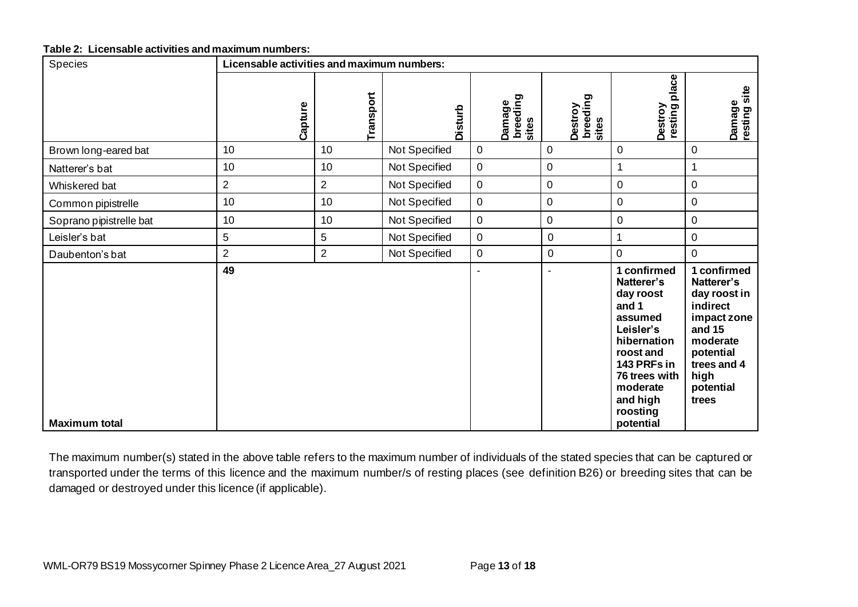| Species                 | Licensable activities and maximum numbers: |                |                |                  |                             |                              |                                                                                                                                                                                      |                                                                                                                                                      |
|-------------------------|--------------------------------------------|----------------|----------------|------------------|-----------------------------|------------------------------|--------------------------------------------------------------------------------------------------------------------------------------------------------------------------------------|------------------------------------------------------------------------------------------------------------------------------------------------------|
|                         | Capture                                    | Transport      | <b>Disturb</b> |                  | Damage<br>breeding<br>sites | Destroy<br>breeding<br>sites | place<br>resting<br>Destroy                                                                                                                                                          | site<br>Damage<br>resting                                                                                                                            |
| Brown long-eared bat    | 10                                         | 10             | Not Specified  | $\mathbf 0$      |                             | $\overline{0}$               | 0                                                                                                                                                                                    | 0                                                                                                                                                    |
| Natterer's bat          | 10                                         | 10             | Not Specified  | $\pmb{0}$        |                             | 0                            | 1                                                                                                                                                                                    | 1                                                                                                                                                    |
| Whiskered bat           | $\overline{2}$                             | $\overline{2}$ | Not Specified  | $\pmb{0}$        |                             | 0                            | 0                                                                                                                                                                                    | $\pmb{0}$                                                                                                                                            |
| Common pipistrelle      | 10                                         | 10             | Not Specified  | $\mathbf 0$      |                             | $\overline{0}$               | 0                                                                                                                                                                                    | 0                                                                                                                                                    |
| Soprano pipistrelle bat | 10                                         | 10             | Not Specified  | $\pmb{0}$        |                             | 0                            | 0                                                                                                                                                                                    | $\pmb{0}$                                                                                                                                            |
| Leisler's bat           | 5                                          | 5              | Not Specified  | $\boldsymbol{0}$ |                             | 0                            | 1                                                                                                                                                                                    | 0                                                                                                                                                    |
| Daubenton's bat         | $\overline{2}$                             | $\overline{2}$ | Not Specified  | $\pmb{0}$        |                             | $\pmb{0}$                    | 0                                                                                                                                                                                    | $\mathbf 0$                                                                                                                                          |
| <b>Maximum total</b>    | 49                                         |                |                |                  |                             |                              | 1 confirmed<br>Natterer's<br>day roost<br>and 1<br>assumed<br>Leisler's<br>hibernation<br>roost and<br>143 PRFs in<br>76 trees with<br>moderate<br>and high<br>roosting<br>potential | 1 confirmed<br>Natterer's<br>day roost in<br>indirect<br>impact zone<br>and 15<br>moderate<br>potential<br>trees and 4<br>high<br>potential<br>trees |

The maximum number(s) stated in the above table refers to the maximum number of individuals of the stated species that can be captured or transported under the terms of this licence and the maximum number/s of resting places (see definition B26) or breeding sites that can be damaged or destroyed under this licence (if applicable).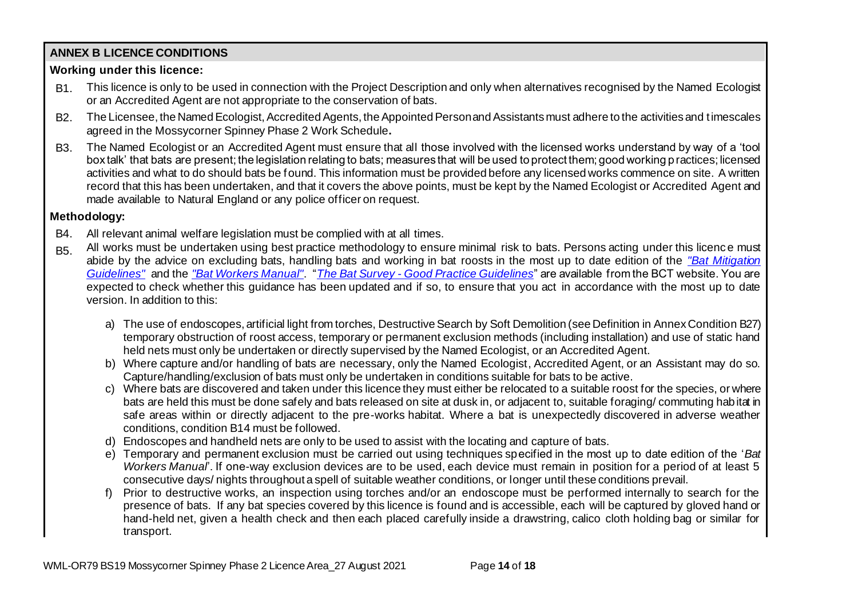## **ANNEX B LICENCE CONDITIONS**

## **Working under this licence:**

- B1. This licence is only to be used in connection with the Project Description and only when alternatives recognised by the Named Ecologist or an Accredited Agent are not appropriate to the conservation of bats.
- B2. The Licensee, the Named Ecologist, Accredited Agents, the Appointed Person and Assistants must adhere to the activities and timescales agreed in the Mossycorner Spinney Phase 2 Work Schedule**.**
- B3. The Named Ecologist or an Accredited Agent must ensure that all those involved with the licensed works understand by way of a 'tool box talk' that bats are present; the legislation relating to bats; measures that will be used to protect them; good working practices; licensed activities and what to do should bats be found. This information must be provided before any licensed works commence on site. A written record that this has been undertaken, and that it covers the above points, must be kept by the Named Ecologist or Accredited Agent and made available to Natural England or any police officer on request.

## **Methodology:**

- B4. All relevant animal welfare legislation must be complied with at all times.
- B5. All works must be undertaken using best practice methodology to ensure minimal risk to bats. Persons acting under this licence must abide by the advice on excluding bats, handling bats and working in bat roosts in the most up to date edition of the *"Bat Mitigation Guidelines"* and the *"Bat Workers Manual"*. "*The Bat Survey - Good Practice Guidelines*" are available from the BCT website. You are expected to check whether this guidance has been updated and if so, to ensure that you act in accordance with the most up to date version. In addition to this:
	- a) The use of endoscopes, artificial light from torches, Destructive Search by Soft Demolition (see Definition in Annex Condition B27) temporary obstruction of roost access, temporary or permanent exclusion methods (including installation) and use of static hand held nets must only be undertaken or directly supervised by the Named Ecologist, or an Accredited Agent.
	- b) Where capture and/or handling of bats are necessary, only the Named Ecologist, Accredited Agent, or an Assistant may do so. Capture/handling/exclusion of bats must only be undertaken in conditions suitable for bats to be active.
	- c) Where bats are discovered and taken under this licence they must either be relocated to a suitable roost for the species, or where bats are held this must be done safely and bats released on site at dusk in, or adjacent to, suitable foraging/ commuting habitat in safe areas within or directly adjacent to the pre-works habitat. Where a bat is unexpectedly discovered in adverse weather conditions, condition B14 must be followed.
	- d) Endoscopes and handheld nets are only to be used to assist with the locating and capture of bats.
	- e) Temporary and permanent exclusion must be carried out using techniques specified in the most up to date edition of the '*Bat Workers Manual*'. If one-way exclusion devices are to be used, each device must remain in position for a period of at least 5 consecutive days/ nights throughout a spell of suitable weather conditions, or longer until these conditions prevail.
	- f) Prior to destructive works, an inspection using torches and/or an endoscope must be performed internally to search for the presence of bats. If any bat species covered by this licence is found and is accessible, each will be captured by gloved hand or hand-held net, given a health check and then each placed carefully inside a drawstring, calico cloth holding bag or similar for transport.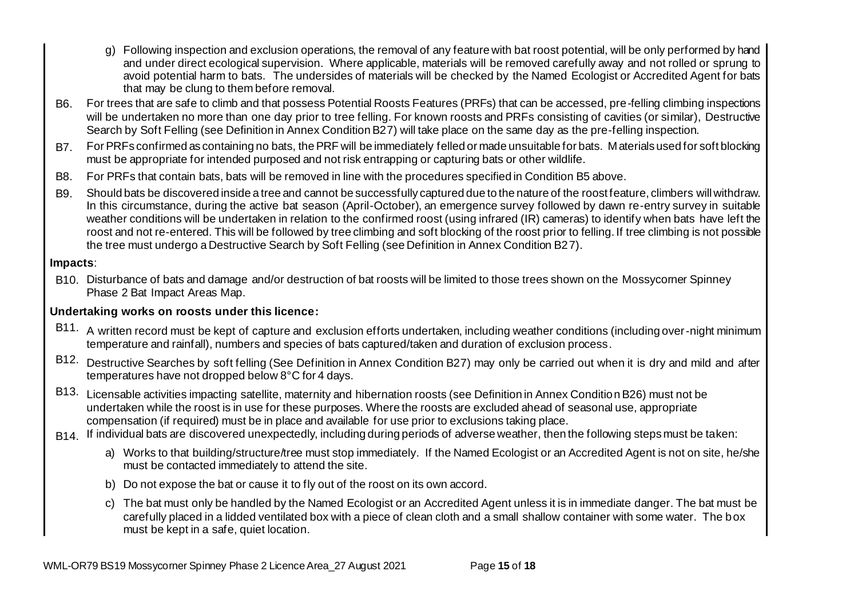- g) Following inspection and exclusion operations, the removal of any feature with bat roost potential, will be only performed by hand and under direct ecological supervision. Where applicable, materials will be removed carefully away and not rolled or sprung to avoid potential harm to bats. The undersides of materials will be checked by the Named Ecologist or Accredited Agent for bats that may be clung to them before removal.
- B6. For trees that are safe to climb and that possess Potential Roosts Features (PRFs) that can be accessed, pre-felling climbing inspections will be undertaken no more than one day prior to tree felling. For known roosts and PRFs consisting of cavities (or similar), Destructive Search by Soft Felling (see Definition in Annex Condition B27) will take place on the same day as the pre-felling inspection.
- B7. For PRFs confirmed as containing no bats, the PRF will be immediately felled or made unsuitable for bats. Materials used for soft blocking must be appropriate for intended purposed and not risk entrapping or capturing bats or other wildlife.
- B8. For PRFs that contain bats, bats will be removed in line with the procedures specified in Condition B5 above.
- B9. Should bats be discovered inside a tree and cannot be successfully captured due to the nature of the roost feature, climbers will withdraw. In this circumstance, during the active bat season (April-October), an emergence survey followed by dawn re-entry survey in suitable weather conditions will be undertaken in relation to the confirmed roost (using infrared (IR) cameras) to identify when bats have left the roost and not re-entered. This will be followed by tree climbing and soft blocking of the roost prior to felling. If tree climbing is not possible the tree must undergo a Destructive Search by Soft Felling (see Definition in Annex Condition B27).

## **Impacts**:

B10. Disturbance of bats and damage and/or destruction of bat roosts will be limited to those trees shown on the Mossycorner Spinney Phase 2 Bat Impact Areas Map.

## **Undertaking works on roosts under this licence:**

- B11. A written record must be kept of capture and exclusion efforts undertaken, including weather conditions (including over-night minimum temperature and rainfall), numbers and species of bats captured/taken and duration of exclusion process.
- B12. Destructive Searches by soft felling (See Definition in Annex Condition B27) may only be carried out when it is dry and mild and after temperatures have not dropped below 8°C for 4 days.
- B13. Licensable activities impacting satellite, maternity and hibernation roosts (see Definition in Annex Condition B26) must not be undertaken while the roost is in use for these purposes. Where the roosts are excluded ahead of seasonal use, appropriate compensation (if required) must be in place and available for use prior to exclusions taking place.
- B<sub>14</sub>. If individual bats are discovered unexpectedly, including during periods of adverse weather, then the following steps must be taken:
	- a) Works to that building/structure/tree must stop immediately. If the Named Ecologist or an Accredited Agent is not on site, he/she must be contacted immediately to attend the site.
	- b) Do not expose the bat or cause it to fly out of the roost on its own accord.
	- c) The bat must only be handled by the Named Ecologist or an Accredited Agent unless it is in immediate danger. The bat must be carefully placed in a lidded ventilated box with a piece of clean cloth and a small shallow container with some water. The box must be kept in a safe, quiet location.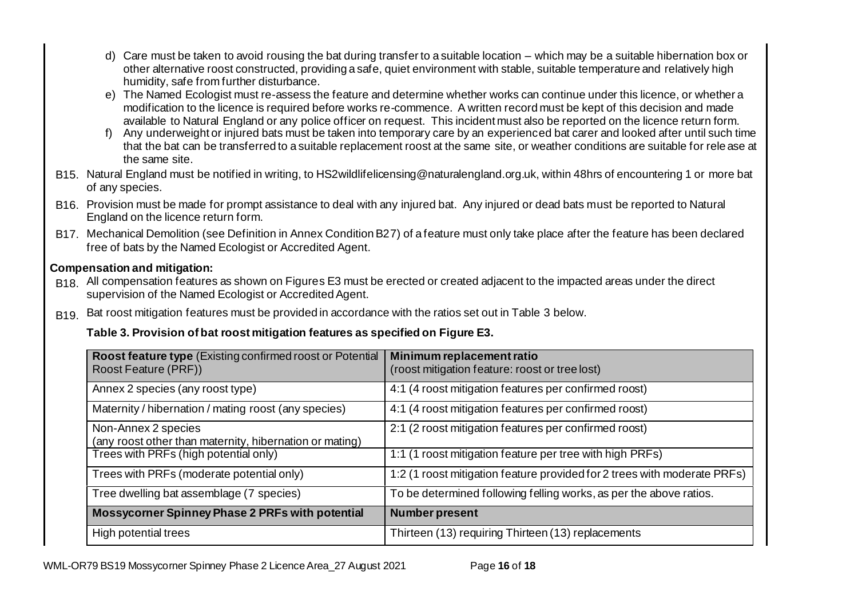- d) Care must be taken to avoid rousing the bat during transfer to a suitable location which may be a suitable hibernation box or other alternative roost constructed, providing a safe, quiet environment with stable, suitable temperature and relatively high humidity, safe from further disturbance.
- e) The Named Ecologist must re-assess the feature and determine whether works can continue under this licence, or whether a modification to the licence is required before works re-commence. A written record must be kept of this decision and made available to Natural England or any police officer on request. This incident must also be reported on the licence return form.
- f) Any underweight or injured bats must be taken into temporary care by an experienced bat carer and looked after until such time that the bat can be transferred to a suitable replacement roost at the same site, or weather conditions are suitable for rele ase at the same site.
- B15. Natural England must be notified in writing, to HS2wildlifelicensing@naturalengland.org.uk, within 48hrs of encountering 1 or more bat of any species.
- B16. Provision must be made for prompt assistance to deal with any injured bat. Any injured or dead bats must be reported to Natural England on the licence return form.
- B17. Mechanical Demolition (see Definition in Annex Condition B27) of a feature must only take place after the feature has been declared free of bats by the Named Ecologist or Accredited Agent.

## **Compensation and mitigation:**

- B<sub>18</sub>. All compensation features as shown on Figures E3 must be erected or created adjacent to the impacted areas under the direct supervision of the Named Ecologist or Accredited Agent.
- B19. Bat roost mitigation features must be provided in accordance with the ratios set out in Table 3 below.

## **Table 3. Provision of bat roost mitigation features as specified on Figure E3.**

| <b>Roost feature type</b> (Existing confirmed roost or Potential)<br>Roost Feature (PRF)) | Minimum replacement ratio<br>(roost mitigation feature: roost or tree lost) |
|-------------------------------------------------------------------------------------------|-----------------------------------------------------------------------------|
| Annex 2 species (any roost type)                                                          | 4:1 (4 roost mitigation features per confirmed roost)                       |
| Maternity / hibernation / mating roost (any species)                                      | 4:1 (4 roost mitigation features per confirmed roost)                       |
| Non-Annex 2 species<br>(any roost other than maternity, hibernation or mating)            | 2:1 (2 roost mitigation features per confirmed roost)                       |
| Trees with PRFs (high potential only)                                                     | 1:1 (1 roost mitigation feature per tree with high PRFs)                    |
| Trees with PRFs (moderate potential only)                                                 | 1:2 (1 roost mitigation feature provided for 2 trees with moderate PRFs)    |
| Tree dwelling bat assemblage (7 species)                                                  | To be determined following felling works, as per the above ratios.          |
| Mossycorner Spinney Phase 2 PRFs with potential                                           | <b>Number present</b>                                                       |
| High potential trees                                                                      | Thirteen (13) requiring Thirteen (13) replacements                          |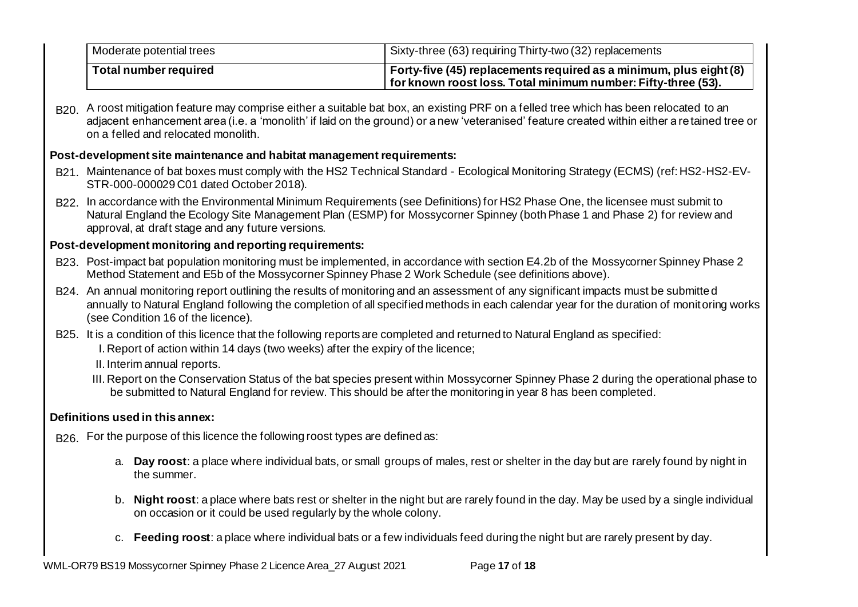| Moderate potential trees                                                                                                                                                                                                                                                                                              | Sixty-three (63) requiring Thirty-two (32) replacements                                                                                                                                                                                                                                |  |  |  |  |
|-----------------------------------------------------------------------------------------------------------------------------------------------------------------------------------------------------------------------------------------------------------------------------------------------------------------------|----------------------------------------------------------------------------------------------------------------------------------------------------------------------------------------------------------------------------------------------------------------------------------------|--|--|--|--|
| <b>Total number required</b>                                                                                                                                                                                                                                                                                          | Forty-five (45) replacements required as a minimum, plus eight (8)<br>for known roost loss. Total minimum number: Fifty-three (53).                                                                                                                                                    |  |  |  |  |
| on a felled and relocated monolith.                                                                                                                                                                                                                                                                                   | B20. A roost mitigation feature may comprise either a suitable bat box, an existing PRF on a felled tree which has been relocated to an<br>adjacent enhancement area (i.e. a 'monolith' if laid on the ground) or a new 'veteranised' feature created within either a retained tree or |  |  |  |  |
| Post-development site maintenance and habitat management requirements:                                                                                                                                                                                                                                                |                                                                                                                                                                                                                                                                                        |  |  |  |  |
| STR-000-000029 C01 dated October 2018).                                                                                                                                                                                                                                                                               | B21. Maintenance of bat boxes must comply with the HS2 Technical Standard - Ecological Monitoring Strategy (ECMS) (ref: HS2-HS2-EV-                                                                                                                                                    |  |  |  |  |
| B22. In accordance with the Environmental Minimum Requirements (see Definitions) for HS2 Phase One, the licensee must submit to<br>Natural England the Ecology Site Management Plan (ESMP) for Mossycorner Spinney (both Phase 1 and Phase 2) for review and<br>approval, at draft stage and any future versions.     |                                                                                                                                                                                                                                                                                        |  |  |  |  |
| Post-development monitoring and reporting requirements:                                                                                                                                                                                                                                                               |                                                                                                                                                                                                                                                                                        |  |  |  |  |
| B23. Post-impact bat population monitoring must be implemented, in accordance with section E4.2b of the Mossycorner Spinney Phase 2<br>Method Statement and E5b of the Mossycorner Spinney Phase 2 Work Schedule (see definitions above).                                                                             |                                                                                                                                                                                                                                                                                        |  |  |  |  |
| B24. An annual monitoring report outlining the results of monitoring and an assessment of any significant impacts must be submitted<br>annually to Natural England following the completion of all specified methods in each calendar year for the duration of monitoring works<br>(see Condition 16 of the licence). |                                                                                                                                                                                                                                                                                        |  |  |  |  |
| B25. It is a condition of this licence that the following reports are completed and returned to Natural England as specified:<br>I. Report of action within 14 days (two weeks) after the expiry of the licence;<br>II. Interim annual reports.                                                                       |                                                                                                                                                                                                                                                                                        |  |  |  |  |
| III. Report on the Conservation Status of the bat species present within Mossycorner Spinney Phase 2 during the operational phase to<br>be submitted to Natural England for review. This should be after the monitoring in year 8 has been completed.                                                                 |                                                                                                                                                                                                                                                                                        |  |  |  |  |
| Definitions used in this annex:                                                                                                                                                                                                                                                                                       |                                                                                                                                                                                                                                                                                        |  |  |  |  |
| B26. For the purpose of this licence the following roost types are defined as:                                                                                                                                                                                                                                        |                                                                                                                                                                                                                                                                                        |  |  |  |  |
| the summer.                                                                                                                                                                                                                                                                                                           | a. Day roost: a place where individual bats, or small groups of males, rest or shelter in the day but are rarely found by night in                                                                                                                                                     |  |  |  |  |
| on occasion or it could be used regularly by the whole colony.                                                                                                                                                                                                                                                        | b. Night roost: a place where bats rest or shelter in the night but are rarely found in the day. May be used by a single individual                                                                                                                                                    |  |  |  |  |

c. **Feeding roost**: a place where individual bats or a few individuals feed during the night but are rarely present by day.